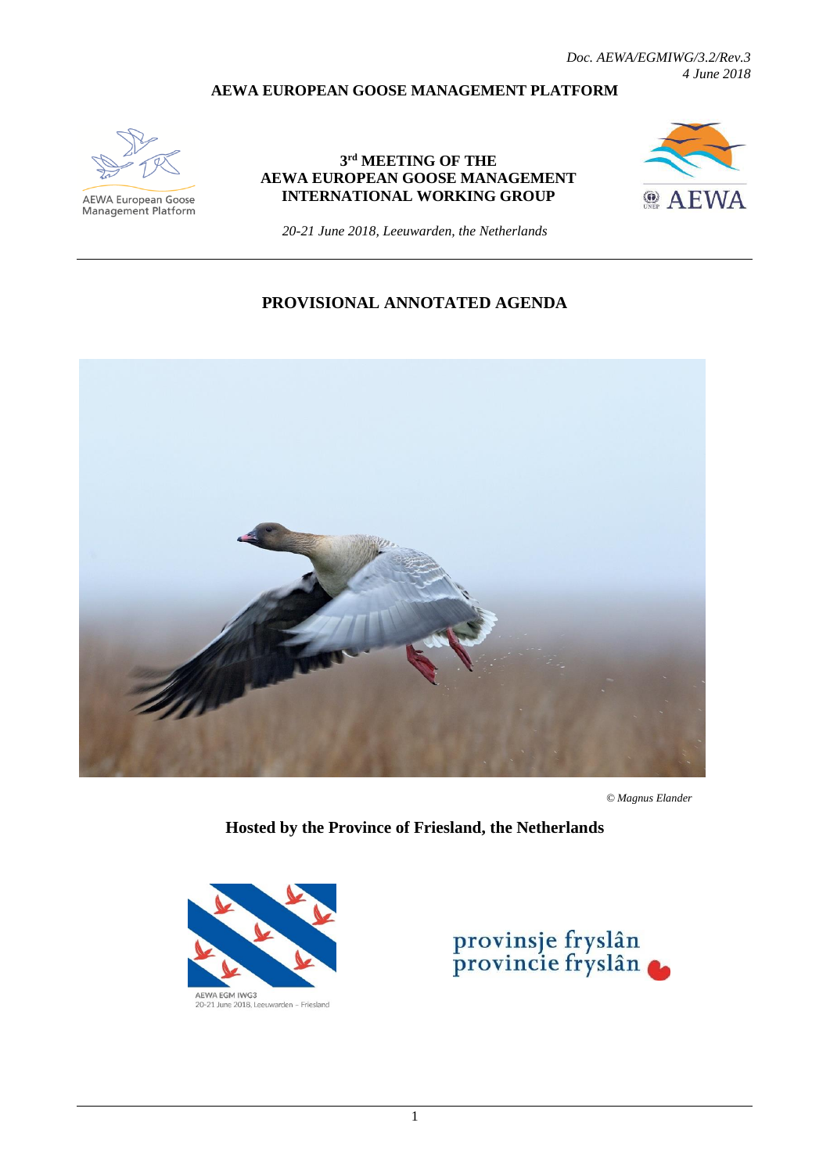#### **AEWA EUROPEAN GOOSE MANAGEMENT PLATFORM**



**AEWA European Goose** Management Platform

#### **3 rd MEETING OF THE AEWA EUROPEAN GOOSE MANAGEMENT INTERNATIONAL WORKING GROUP**



*20-21 June 2018, Leeuwarden, the Netherlands*

## **PROVISIONAL ANNOTATED AGENDA**



 *© Magnus Elander*

**Hosted by the Province of Friesland, the Netherlands**



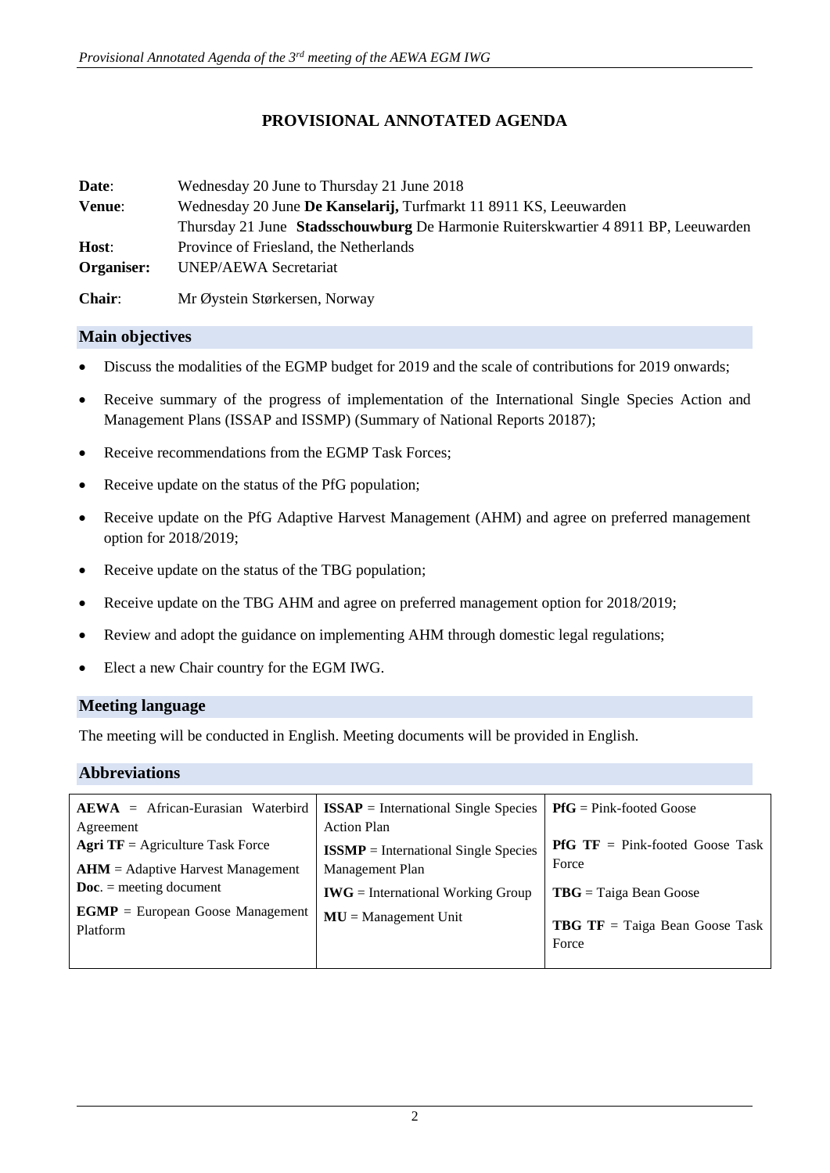# **PROVISIONAL ANNOTATED AGENDA**

| Date:         | Wednesday 20 June to Thursday 21 June 2018                                         |
|---------------|------------------------------------------------------------------------------------|
| Venue:        | Wednesday 20 June De Kanselarij, Turfmarkt 11 8911 KS, Leeuwarden                  |
|               | Thursday 21 June Stadsschouwburg De Harmonie Ruiterskwartier 4 8911 BP, Leeuwarden |
| Host:         | Province of Friesland, the Netherlands                                             |
| Organiser:    | <b>UNEP/AEWA Secretariat</b>                                                       |
| <b>Chair:</b> | Mr Øystein Størkersen, Norway                                                      |

## **Main objectives**

- Discuss the modalities of the EGMP budget for 2019 and the scale of contributions for 2019 onwards;
- Receive summary of the progress of implementation of the International Single Species Action and Management Plans (ISSAP and ISSMP) (Summary of National Reports 20187);
- Receive recommendations from the EGMP Task Forces;
- Receive update on the status of the PfG population;
- Receive update on the PfG Adaptive Harvest Management (AHM) and agree on preferred management option for 2018/2019;
- Receive update on the status of the TBG population;
- Receive update on the TBG AHM and agree on preferred management option for 2018/2019;
- Review and adopt the guidance on implementing AHM through domestic legal regulations;
- Elect a new Chair country for the EGM IWG.

#### **Meeting language**

The meeting will be conducted in English. Meeting documents will be provided in English.

## **Abbreviations**

| $A EWA$ = African-Eurasian Waterbird            | $ISSAP = International Single Species$ | $P f G = P i n k$ -footed Goose                |
|-------------------------------------------------|----------------------------------------|------------------------------------------------|
| Agreement                                       | <b>Action Plan</b>                     |                                                |
| <b>Agri TF</b> = Agriculture Task Force         | $ISSMP = International Single Species$ | <b>PfG</b> $TF = Pink-footed$ Goose Task       |
| $AHM =$ Adaptive Harvest Management             | Management Plan                        | Force                                          |
| $\mathbf{Doc.} = \text{ meeting document}$      | $IWG = International Working Group$    | $TBG = Taiga Bean Google$                      |
| $EGMP = European Google Management$<br>Platform | $MU = Management Unit$                 | <b>TBG TF</b> = Taiga Bean Goose Task<br>Force |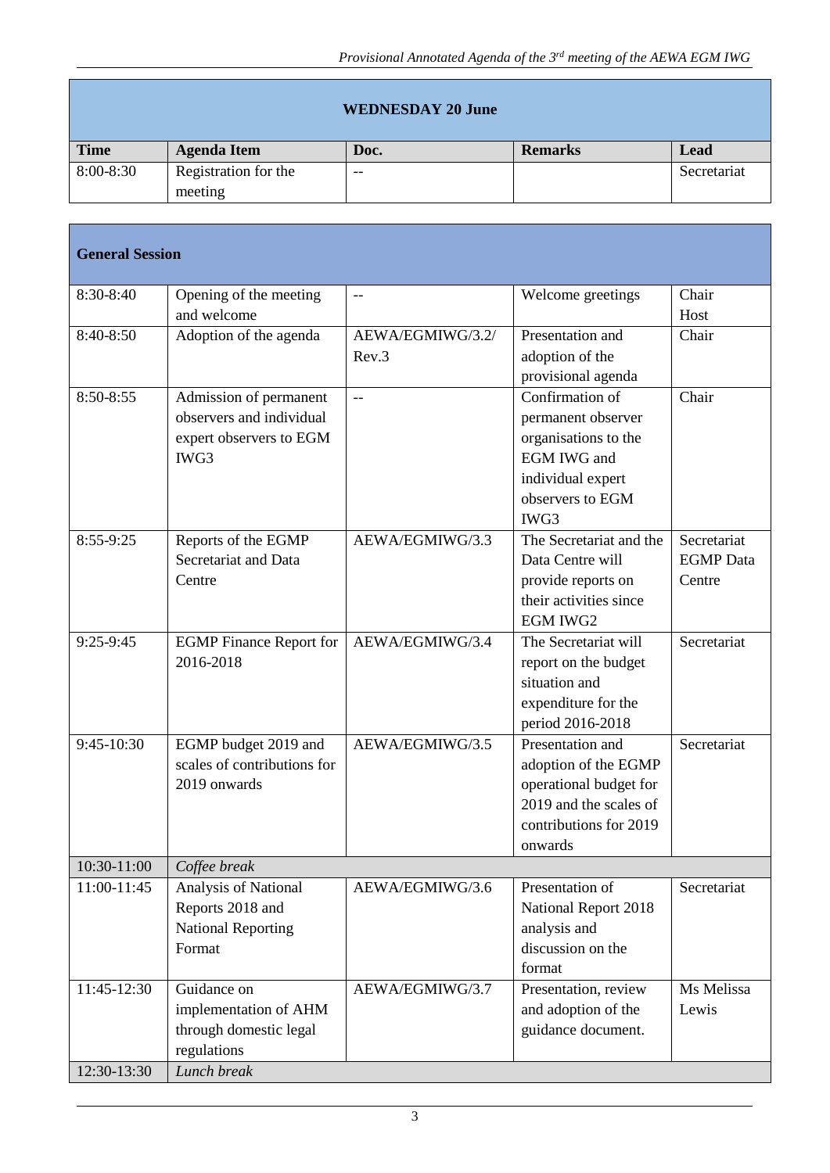| <b>WEDNESDAY 20 June</b> |                      |      |                |             |
|--------------------------|----------------------|------|----------------|-------------|
| <b>Time</b>              | <b>Agenda Item</b>   | Doc. | <b>Remarks</b> | Lead        |
| 8:00-8:30                | Registration for the | $-$  |                | Secretariat |
|                          | meeting              |      |                |             |

| <b>General Session</b> |                                |                  |                         |                  |  |
|------------------------|--------------------------------|------------------|-------------------------|------------------|--|
| 8:30-8:40              | Opening of the meeting         | $-$              | Welcome greetings       | Chair            |  |
|                        | and welcome                    |                  |                         | Host             |  |
| 8:40-8:50              | Adoption of the agenda         | AEWA/EGMIWG/3.2/ | Presentation and        | Chair            |  |
|                        |                                | Rev.3            | adoption of the         |                  |  |
|                        |                                |                  | provisional agenda      |                  |  |
| 8:50-8:55              | Admission of permanent         | $-$              | Confirmation of         | Chair            |  |
|                        | observers and individual       |                  | permanent observer      |                  |  |
|                        | expert observers to EGM        |                  | organisations to the    |                  |  |
|                        | IWG3                           |                  | <b>EGM IWG and</b>      |                  |  |
|                        |                                |                  | individual expert       |                  |  |
|                        |                                |                  | observers to EGM        |                  |  |
|                        |                                |                  | IWG3                    |                  |  |
| 8:55-9:25              | Reports of the EGMP            | AEWA/EGMIWG/3.3  | The Secretariat and the | Secretariat      |  |
|                        | Secretariat and Data           |                  | Data Centre will        | <b>EGMP</b> Data |  |
|                        | Centre                         |                  | provide reports on      | Centre           |  |
|                        |                                |                  | their activities since  |                  |  |
|                        |                                |                  | <b>EGM IWG2</b>         |                  |  |
| 9:25-9:45              | <b>EGMP</b> Finance Report for | AEWA/EGMIWG/3.4  | The Secretariat will    | Secretariat      |  |
|                        | 2016-2018                      |                  | report on the budget    |                  |  |
|                        |                                |                  | situation and           |                  |  |
|                        |                                |                  | expenditure for the     |                  |  |
|                        |                                |                  | period 2016-2018        |                  |  |
| 9:45-10:30             | EGMP budget 2019 and           | AEWA/EGMIWG/3.5  | Presentation and        | Secretariat      |  |
|                        | scales of contributions for    |                  | adoption of the EGMP    |                  |  |
|                        | 2019 onwards                   |                  | operational budget for  |                  |  |
|                        |                                |                  | 2019 and the scales of  |                  |  |
|                        |                                |                  | contributions for 2019  |                  |  |
|                        |                                |                  | onwards                 |                  |  |
| 10:30-11:00            | Coffee break                   |                  |                         |                  |  |
| 11:00-11:45            | Analysis of National           | AEWA/EGMIWG/3.6  | Presentation of         | Secretariat      |  |
|                        | Reports 2018 and               |                  | National Report 2018    |                  |  |
|                        | <b>National Reporting</b>      |                  | analysis and            |                  |  |
|                        | Format                         |                  | discussion on the       |                  |  |
|                        |                                |                  | format                  |                  |  |
| 11:45-12:30            | Guidance on                    | AEWA/EGMIWG/3.7  | Presentation, review    | Ms Melissa       |  |
|                        | implementation of AHM          |                  | and adoption of the     | Lewis            |  |
|                        | through domestic legal         |                  | guidance document.      |                  |  |
|                        | regulations                    |                  |                         |                  |  |
| 12:30-13:30            | Lunch break                    |                  |                         |                  |  |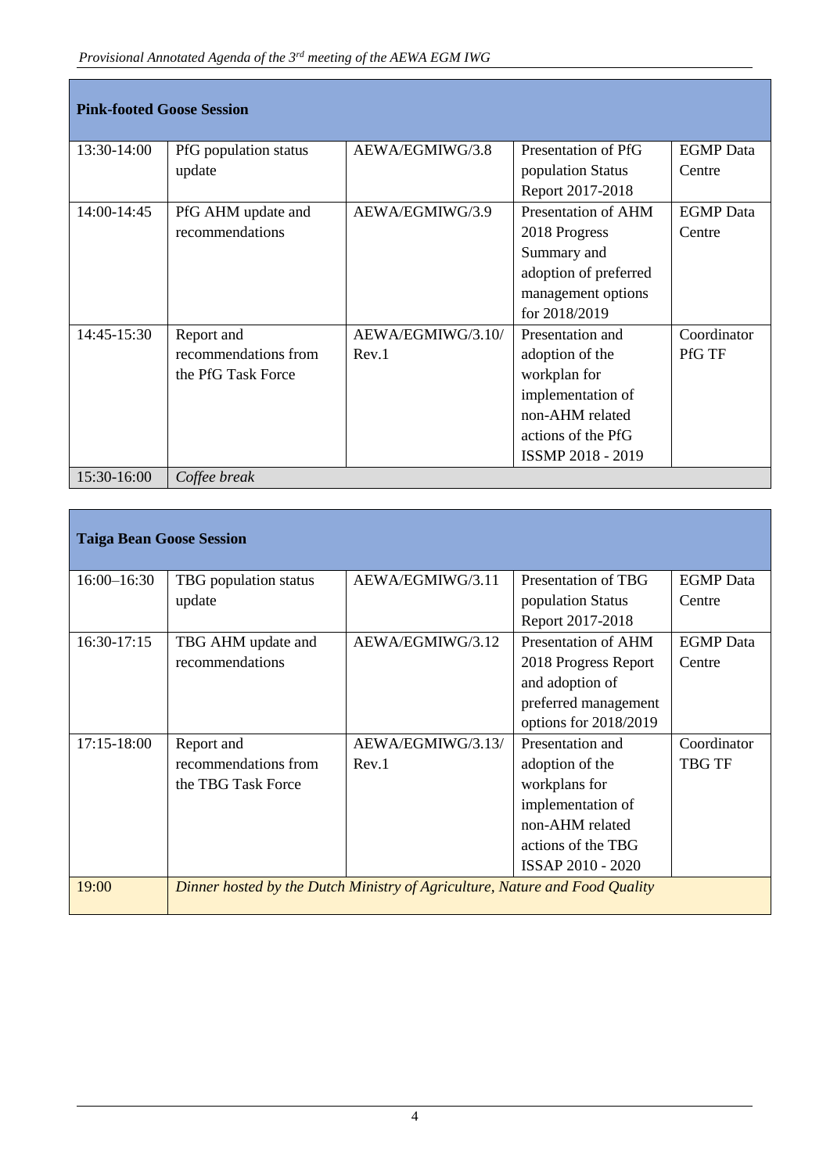| <b>Pink-footed Goose Session</b> |                       |                   |                       |                  |  |
|----------------------------------|-----------------------|-------------------|-----------------------|------------------|--|
| 13:30-14:00                      | PfG population status | AEWA/EGMIWG/3.8   | Presentation of PfG   | <b>EGMP</b> Data |  |
|                                  | update                |                   | population Status     | Centre           |  |
|                                  |                       |                   | Report 2017-2018      |                  |  |
| 14:00-14:45                      | PfG AHM update and    | AEWA/EGMIWG/3.9   | Presentation of AHM   | <b>EGMP</b> Data |  |
|                                  | recommendations       |                   | 2018 Progress         | Centre           |  |
|                                  |                       |                   | Summary and           |                  |  |
|                                  |                       |                   | adoption of preferred |                  |  |
|                                  |                       |                   | management options    |                  |  |
|                                  |                       |                   | for 2018/2019         |                  |  |
| 14:45-15:30                      | Report and            | AEWA/EGMIWG/3.10/ | Presentation and      | Coordinator      |  |
|                                  | recommendations from  | Rev.1             | adoption of the       | <b>PfG TF</b>    |  |
|                                  | the PfG Task Force    |                   | workplan for          |                  |  |
|                                  |                       |                   | implementation of     |                  |  |
|                                  |                       |                   | non-AHM related       |                  |  |
|                                  |                       |                   | actions of the PfG    |                  |  |
|                                  |                       |                   | ISSMP 2018 - 2019     |                  |  |
| 15:30-16:00                      | Coffee break          |                   |                       |                  |  |

| <b>Taiga Bean Goose Session</b> |                                                                             |                   |                       |                  |  |
|---------------------------------|-----------------------------------------------------------------------------|-------------------|-----------------------|------------------|--|
| $16:00 - 16:30$                 | TBG population status                                                       | AEWA/EGMIWG/3.11  | Presentation of TBG   | <b>EGMP</b> Data |  |
|                                 | update                                                                      |                   | population Status     | Centre           |  |
|                                 |                                                                             |                   | Report 2017-2018      |                  |  |
| 16:30-17:15                     | TBG AHM update and                                                          | AEWA/EGMIWG/3.12  | Presentation of AHM   | <b>EGMP</b> Data |  |
|                                 | recommendations                                                             |                   | 2018 Progress Report  | Centre           |  |
|                                 |                                                                             |                   | and adoption of       |                  |  |
|                                 |                                                                             |                   | preferred management  |                  |  |
|                                 |                                                                             |                   | options for 2018/2019 |                  |  |
| 17:15-18:00                     | Report and                                                                  | AEWA/EGMIWG/3.13/ | Presentation and      | Coordinator      |  |
|                                 | recommendations from                                                        | Rev.1             | adoption of the       | TBG TF           |  |
|                                 | the TBG Task Force                                                          |                   | workplans for         |                  |  |
|                                 |                                                                             |                   | implementation of     |                  |  |
|                                 |                                                                             |                   | non-AHM related       |                  |  |
|                                 |                                                                             |                   | actions of the TBG    |                  |  |
|                                 |                                                                             |                   | ISSAP 2010 - 2020     |                  |  |
| 19:00                           | Dinner hosted by the Dutch Ministry of Agriculture, Nature and Food Quality |                   |                       |                  |  |